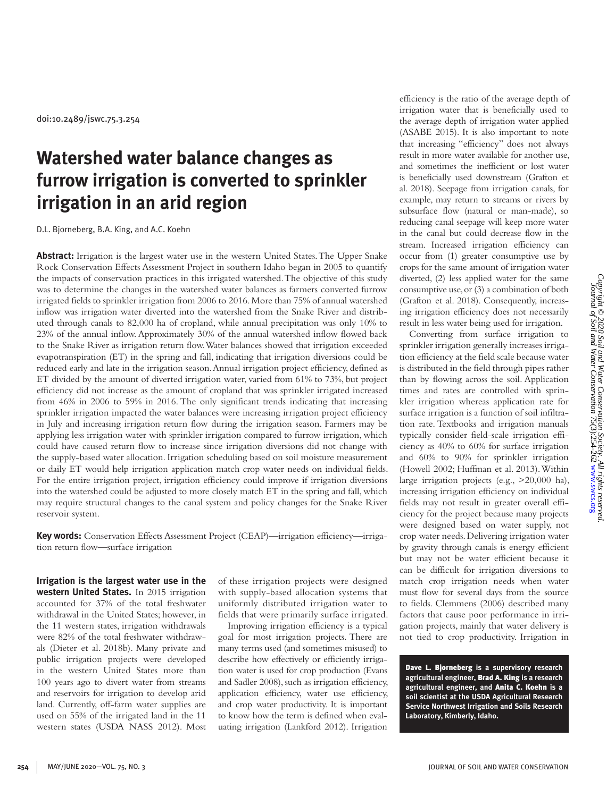doi:10.2489/jswc.75.3.254

# **Watershed water balance changes as furrow irrigation is converted to sprinkler irrigation in an arid region**

D.L. Bjorneberg, B.A. King, and A.C. Koehn

**Abstract:** Irrigation is the largest water use in the western United States. The Upper Snake Rock Conservation Effects Assessment Project in southern Idaho began in 2005 to quantify the impacts of conservation practices in this irrigated watershed. The objective of this study was to determine the changes in the watershed water balances as farmers converted furrow irrigated fields to sprinkler irrigation from 2006 to 2016. More than 75% of annual watershed inflow was irrigation water diverted into the watershed from the Snake River and distributed through canals to 82,000 ha of cropland, while annual precipitation was only 10% to 23% of the annual inflow. Approximately 30% of the annual watershed inflow flowed back to the Snake River as irrigation return flow. Water balances showed that irrigation exceeded evapotranspiration (ET) in the spring and fall, indicating that irrigation diversions could be reduced early and late in the irrigation season. Annual irrigation project efficiency, defined as ET divided by the amount of diverted irrigation water, varied from 61% to 73%, but project efficiency did not increase as the amount of cropland that was sprinkler irrigated increased from 46% in 2006 to 59% in 2016. The only significant trends indicating that increasing sprinkler irrigation impacted the water balances were increasing irrigation project efficiency in July and increasing irrigation return flow during the irrigation season. Farmers may be applying less irrigation water with sprinkler irrigation compared to furrow irrigation, which could have caused return flow to increase since irrigation diversions did not change with the supply-based water allocation. Irrigation scheduling based on soil moisture measurement or daily ET would help irrigation application match crop water needs on individual fields. For the entire irrigation project, irrigation efficiency could improve if irrigation diversions into the watershed could be adjusted to more closely match ET in the spring and fall, which may require structural changes to the canal system and policy changes for the Snake River reservoir system.

**Key words:** Conservation Effects Assessment Project (CEAP)—irrigation efficiency—irrigation return flow—surface irrigation

**Irrigation is the largest water use in the western United States.** In 2015 irrigation accounted for 37% of the total freshwater withdrawal in the United States; however, in the 11 western states, irrigation withdrawals were 82% of the total freshwater withdrawals (Dieter et al. 2018b). Many private and public irrigation projects were developed in the western United States more than 100 years ago to divert water from streams and reservoirs for irrigation to develop arid land. Currently, off-farm water supplies are used on 55% of the irrigated land in the 11 western states (USDA NASS 2012). Most of these irrigation projects were designed with supply-based allocation systems that uniformly distributed irrigation water to fields that were primarily surface irrigated.

Improving irrigation efficiency is a typical goal for most irrigation projects. There are many terms used (and sometimes misused) to describe how effectively or efficiently irrigation water is used for crop production (Evans and Sadler 2008), such as irrigation efficiency, application efficiency, water use efficiency, and crop water productivity. It is important to know how the term is defined when evaluating irrigation (Lankford 2012). Irrigation efficiency is the ratio of the average depth of irrigation water that is beneficially used to the average depth of irrigation water applied (ASABE 2015). It is also important to note that increasing "efficiency" does not always result in more water available for another use, and sometimes the inefficient or lost water is beneficially used downstream (Grafton et al. 2018). Seepage from irrigation canals, for example, may return to streams or rivers by subsurface flow (natural or man-made), so reducing canal seepage will keep more water in the canal but could decrease flow in the stream. Increased irrigation efficiency can occur from (1) greater consumptive use by crops for the same amount of irrigation water diverted, (2) less applied water for the same consumptive use, or (3) a combination of both (Grafton et al. 2018). Consequently, increasing irrigation efficiency does not necessarily result in less water being used for irrigation.

Converting from surface irrigation to sprinkler irrigation generally increases irrigation efficiency at the field scale because water is distributed in the field through pipes rather than by flowing across the soil. Application times and rates are controlled with sprinkler irrigation whereas application rate for surface irrigation is a function of soil infiltration rate. Textbooks and irrigation manuals typically consider field-scale irrigation efficiency as 40% to 60% for surface irrigation and 60% to 90% for sprinkler irrigation (Howell 2002; Huffman et al. 2013). Within large irrigation projects (e.g., >20,000 ha), increasing irrigation efficiency on individual fields may not result in greater overall efficiency for the project because many projects were designed based on water supply, not crop water needs. Delivering irrigation water by gravity through canals is energy efficient but may not be water efficient because it can be difficult for irrigation diversions to match crop irrigation needs when water must flow for several days from the source to fields. Clemmens (2006) described many factors that cause poor performance in irrigation projects, mainly that water delivery is not tied to crop productivity. Irrigation in

Dave L. Bjorneberg **is a supervisory research agricultural engineer,** Brad A. King **is a research agricultural engineer, and** Anita C. Koehn **is a soil scientist at the USDA Agricultural Research Service Northwest Irrigation and Soils Research Laboratory, Kimberly, Idaho.**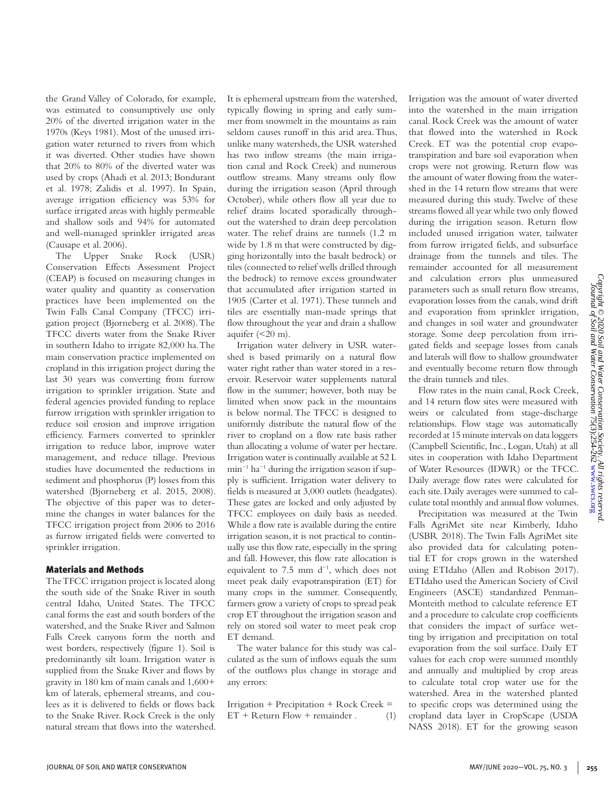Copyright © 2020 Soil and Water Conservation Society. All rights reserved<br>Uournal of Soil and Water Conservation 75(3):254-262 www.swcs.org *Copyright © 2020 Soil and Water Conservation Society. All rights reserved.* Journal of Soil and Water Conservation 75(3):254-262 [www.swcs.org](http://www.swcs.org)

the Grand Valley of Colorado, for example, was estimated to consumptively use only 20% of the diverted irrigation water in the 1970s (Keys 1981). Most of the unused irrigation water returned to rivers from which it was diverted. Other studies have shown that 20% to 80% of the diverted water was used by crops (Ahadi et al. 2013; Bondurant et al. 1978; Zalidis et al. 1997). In Spain, average irrigation efficiency was 53% for surface irrigated areas with highly permeable and shallow soils and 94% for automated and well-managed sprinkler irrigated areas (Causape et al. 2006).

The Upper Snake Rock (USR) Conservation Effects Assessment Project (CEAP) is focused on measuring changes in water quality and quantity as conservation practices have been implemented on the Twin Falls Canal Company (TFCC) irrigation project (Bjorneberg et al. 2008). The TFCC diverts water from the Snake River in southern Idaho to irrigate 82,000 ha. The main conservation practice implemented on cropland in this irrigation project during the last 30 years was converting from furrow irrigation to sprinkler irrigation. State and federal agencies provided funding to replace furrow irrigation with sprinkler irrigation to reduce soil erosion and improve irrigation efficiency. Farmers converted to sprinkler irrigation to reduce labor, improve water management, and reduce tillage. Previous studies have documented the reductions in sediment and phosphorus (P) losses from this watershed (Bjorneberg et al. 2015, 2008). The objective of this paper was to determine the changes in water balances for the TFCC irrigation project from 2006 to 2016 as furrow irrigated fields were converted to sprinkler irrigation.

## Materials and Methods

The TFCC irrigation project is located along the south side of the Snake River in south central Idaho, United States. The TFCC canal forms the east and south borders of the watershed, and the Snake River and Salmon Falls Creek canyons form the north and west borders, respectively (figure 1). Soil is predominantly silt loam. Irrigation water is supplied from the Snake River and flows by gravity in 180 km of main canals and 1,600+ km of laterals, ephemeral streams, and coulees as it is delivered to fields or flows back to the Snake River. Rock Creek is the only natural stream that flows into the watershed. It is ephemeral upstream from the watershed, typically flowing in spring and early summer from snowmelt in the mountains as rain seldom causes runoff in this arid area. Thus, unlike many watersheds, the USR watershed has two inflow streams (the main irrigation canal and Rock Creek) and numerous outflow streams. Many streams only flow during the irrigation season (April through October), while others flow all year due to relief drains located sporadically throughout the watershed to drain deep percolation water. The relief drains are tunnels (1.2 m wide by 1.8 m that were constructed by digging horizontally into the basalt bedrock) or tiles (connected to relief wells drilled through the bedrock) to remove excess groundwater that accumulated after irrigation started in 1905 (Carter et al. 1971). These tunnels and tiles are essentially man-made springs that flow throughout the year and drain a shallow aquifer  $( $20 \text{ m}$ ).$ 

Irrigation water delivery in USR watershed is based primarily on a natural flow water right rather than water stored in a reservoir. Reservoir water supplements natural flow in the summer; however, both may be limited when snow pack in the mountains is below normal. The TFCC is designed to uniformly distribute the natural flow of the river to cropland on a flow rate basis rather than allocating a volume of water per hectare. Irrigation water is continually available at 52 L min−1 ha−1 during the irrigation season if supply is sufficient. Irrigation water delivery to fields is measured at 3,000 outlets (headgates). These gates are locked and only adjusted by TFCC employees on daily basis as needed. While a flow rate is available during the entire irrigation season, it is not practical to continually use this flow rate, especially in the spring and fall. However, this flow rate allocation is equivalent to 7.5 mm  $d^{-1}$ , which does not meet peak daily evapotranspiration (ET) for many crops in the summer. Consequently, farmers grow a variety of crops to spread peak crop ET throughout the irrigation season and rely on stored soil water to meet peak crop ET demand.

The water balance for this study was calculated as the sum of inflows equals the sum of the outflows plus change in storage and any errors:

Irrigation + Precipitation + Rock Creek =  $ET + Return Flow + remainder$ . (1) into the watershed in the main irrigation canal. Rock Creek was the amount of water that flowed into the watershed in Rock Creek. ET was the potential crop evapotranspiration and bare soil evaporation when crops were not growing. Return flow was the amount of water flowing from the watershed in the 14 return flow streams that were measured during this study. Twelve of these streams flowed all year while two only flowed during the irrigation season. Return flow included unused irrigation water, tailwater from furrow irrigated fields, and subsurface drainage from the tunnels and tiles. The remainder accounted for all measurement and calculation errors plus unmeasured parameters such as small return flow streams, evaporation losses from the canals, wind drift and evaporation from sprinkler irrigation, and changes in soil water and groundwater storage. Some deep percolation from irrigated fields and seepage losses from canals and laterals will flow to shallow groundwater and eventually become return flow through the drain tunnels and tiles.

Irrigation was the amount of water diverted

Flow rates in the main canal, Rock Creek, and 14 return flow sites were measured with weirs or calculated from stage-discharge relationships. Flow stage was automatically recorded at 15 minute intervals on data loggers (Campbell Scientific, Inc., Logan, Utah) at all sites in cooperation with Idaho Department of Water Resources (IDWR) or the TFCC. Daily average flow rates were calculated for each site. Daily averages were summed to calculate total monthly and annual flow volumes.

Precipitation was measured at the Twin Falls AgriMet site near Kimberly, Idaho (USBR 2018). The Twin Falls AgriMet site also provided data for calculating potential ET for crops grown in the watershed using ETIdaho (Allen and Robison 2017). ETIdaho used the American Society of Civil Engineers (ASCE) standardized Penman-Monteith method to calculate reference ET and a procedure to calculate crop coefficients that considers the impact of surface wetting by irrigation and precipitation on total evaporation from the soil surface. Daily ET values for each crop were summed monthly and annually and multiplied by crop areas to calculate total crop water use for the watershed. Area in the watershed planted to specific crops was determined using the cropland data layer in CropScape (USDA NASS 2018). ET for the growing season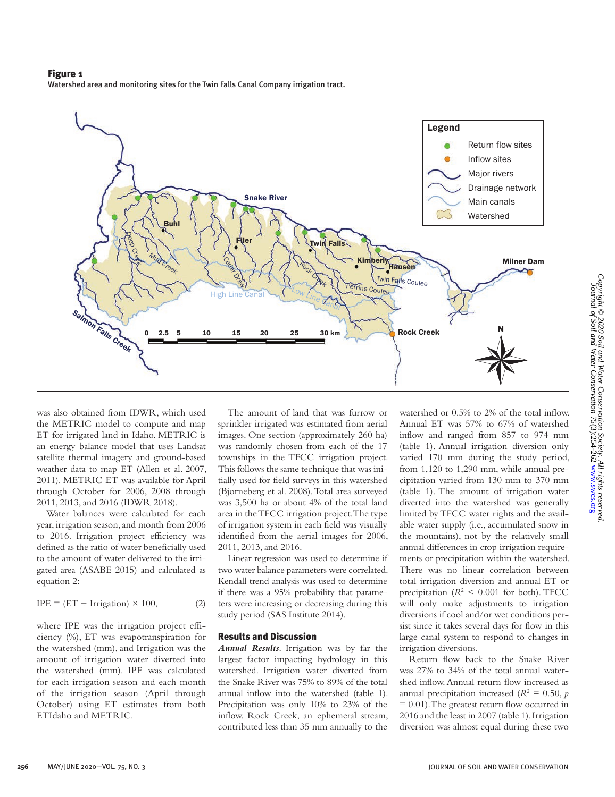Watershed area and monitoring sites for the Twin Falls Canal Company irrigation tract.



was also obtained from IDWR, which used the METRIC model to compute and map ET for irrigated land in Idaho. METRIC is an energy balance model that uses Landsat satellite thermal imagery and ground-based weather data to map ET (Allen et al. 2007, 2011). METRIC ET was available for April through October for 2006, 2008 through 2011, 2013, and 2016 (IDWR 2018).

Water balances were calculated for each year, irrigation season, and month from 2006 to 2016. Irrigation project efficiency was defined as the ratio of water beneficially used to the amount of water delivered to the irrigated area (ASABE 2015) and calculated as equation 2:

$$
IPE = (ET \div Irrigation) \times 100, \tag{2}
$$

where IPE was the irrigation project efficiency (%), ET was evapotranspiration for the watershed (mm), and Irrigation was the amount of irrigation water diverted into the watershed (mm). IPE was calculated for each irrigation season and each month of the irrigation season (April through October) using ET estimates from both ETIdaho and METRIC.

The amount of land that was furrow or sprinkler irrigated was estimated from aerial images. One section (approximately 260 ha) was randomly chosen from each of the 17 townships in the TFCC irrigation project. This follows the same technique that was initially used for field surveys in this watershed (Bjorneberg et al. 2008). Total area surveyed was 3,500 ha or about 4% of the total land area in the TFCC irrigation project. The type of irrigation system in each field was visually identified from the aerial images for 2006, 2011, 2013, and 2016.

Linear regression was used to determine if two water balance parameters were correlated. Kendall trend analysis was used to determine if there was a 95% probability that parameters were increasing or decreasing during this study period (SAS Institute 2014).

### Results and Discussion

*Annual Results*. Irrigation was by far the largest factor impacting hydrology in this watershed. Irrigation water diverted from the Snake River was 75% to 89% of the total annual inflow into the watershed (table 1). Precipitation was only 10% to 23% of the inflow. Rock Creek, an ephemeral stream, contributed less than 35 mm annually to the

watershed or 0.5% to 2% of the total inflow. Annual ET was 57% to 67% of watershed inflow and ranged from 857 to 974 mm (table 1). Annual irrigation diversion only varied 170 mm during the study period, from 1,120 to 1,290 mm, while annual precipitation varied from 130 mm to 370 mm (table 1). The amount of irrigation water diverted into the watershed was generally limited by TFCC water rights and the available water supply (i.e., accumulated snow in the mountains), not by the relatively small annual differences in crop irrigation requirements or precipitation within the watershed. There was no linear correlation between total irrigation diversion and annual ET or precipitation  $(R^2 \leq 0.001$  for both). TFCC will only make adjustments to irrigation diversions if cool and/or wet conditions persist since it takes several days for flow in this large canal system to respond to changes in irrigation diversions.

Return flow back to the Snake River was 27% to 34% of the total annual watershed inflow. Annual return flow increased as annual precipitation increased ( $R^2 = 0.50$ , *p* = 0.01). The greatest return flow occurred in 2016 and the least in 2007 (table 1). Irrigation diversion was almost equal during these two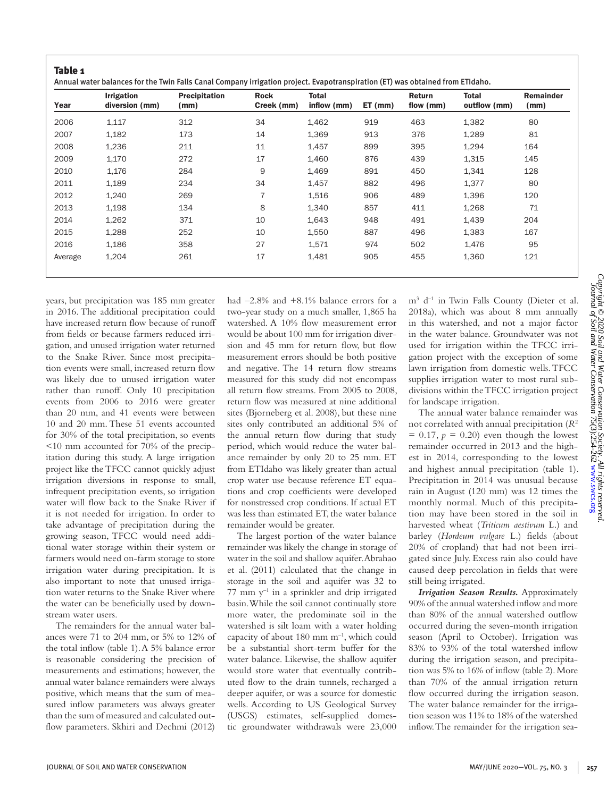| Year    | <b>Irrigation</b><br>diversion (mm) | <b>Precipitation</b><br>(mm) | <b>Rock</b><br>Creek (mm) | <b>Total</b><br>inflow (mm) | $ET$ (mm) | <b>Return</b><br>flow (mm) | Total<br>outflow (mm) | <b>Remainder</b><br>(mm) |
|---------|-------------------------------------|------------------------------|---------------------------|-----------------------------|-----------|----------------------------|-----------------------|--------------------------|
| 2006    | 1,117                               | 312                          | 34                        | 1,462                       | 919       | 463                        | 1,382                 | 80                       |
| 2007    | 1,182                               | 173                          | 14                        | 1,369                       | 913       | 376                        | 1,289                 | 81                       |
| 2008    | 1,236                               | 211                          | 11                        | 1,457                       | 899       | 395                        | 1,294                 | 164                      |
| 2009    | 1,170                               | 272                          | 17                        | 1,460                       | 876       | 439                        | 1,315                 | 145                      |
| 2010    | 1,176                               | 284                          | 9                         | 1,469                       | 891       | 450                        | 1,341                 | 128                      |
| 2011    | 1,189                               | 234                          | 34                        | 1,457                       | 882       | 496                        | 1,377                 | 80                       |
| 2012    | 1,240                               | 269                          | $\overline{7}$            | 1,516                       | 906       | 489                        | 1,396                 | 120                      |
| 2013    | 1,198                               | 134                          | 8                         | 1,340                       | 857       | 411                        | 1,268                 | 71                       |
| 2014    | 1,262                               | 371                          | 10                        | 1,643                       | 948       | 491                        | 1,439                 | 204                      |
| 2015    | 1,288                               | 252                          | 10                        | 1,550                       | 887       | 496                        | 1,383                 | 167                      |
| 2016    | 1,186                               | 358                          | 27                        | 1,571                       | 974       | 502                        | 1,476                 | 95                       |
| Average | 1,204                               | 261                          | 17                        | 1,481                       | 905       | 455                        | 1,360                 | 121                      |

years, but precipitation was 185 mm greater in 2016. The additional precipitation could have increased return flow because of runoff from fields or because farmers reduced irrigation, and unused irrigation water returned to the Snake River. Since most precipitation events were small, increased return flow was likely due to unused irrigation water rather than runoff. Only 10 precipitation events from 2006 to 2016 were greater than 20 mm, and 41 events were between 10 and 20 mm. These 51 events accounted for 30% of the total precipitation, so events <10 mm accounted for 70% of the precipitation during this study. A large irrigation project like the TFCC cannot quickly adjust irrigation diversions in response to small, infrequent precipitation events, so irrigation water will flow back to the Snake River if it is not needed for irrigation. In order to take advantage of precipitation during the growing season, TFCC would need additional water storage within their system or farmers would need on-farm storage to store irrigation water during precipitation. It is also important to note that unused irrigation water returns to the Snake River where the water can be beneficially used by downstream water users.

The remainders for the annual water balances were 71 to 204 mm, or 5% to 12% of the total inflow (table 1). A 5% balance error is reasonable considering the precision of measurements and estimations; however, the annual water balance remainders were always positive, which means that the sum of measured inflow parameters was always greater than the sum of measured and calculated outflow parameters. Skhiri and Dechmi (2012)

had –2.8% and +8.1% balance errors for a two-year study on a much smaller, 1,865 ha watershed. A 10% flow measurement error would be about 100 mm for irrigation diversion and 45 mm for return flow, but flow measurement errors should be both positive and negative. The 14 return flow streams measured for this study did not encompass all return flow streams. From 2005 to 2008, return flow was measured at nine additional sites (Bjorneberg et al. 2008), but these nine sites only contributed an additional 5% of the annual return flow during that study period, which would reduce the water balance remainder by only 20 to 25 mm. ET from ETIdaho was likely greater than actual crop water use because reference ET equations and crop coefficients were developed for nonstressed crop conditions. If actual ET was less than estimated ET, the water balance remainder would be greater.

The largest portion of the water balance remainder was likely the change in storage of water in the soil and shallow aquifer. Abrahao et al. (2011) calculated that the change in storage in the soil and aquifer was 32 to 77 mm  $y^{-1}$  in a sprinkler and drip irrigated basin. While the soil cannot continually store more water, the predominate soil in the watershed is silt loam with a water holding capacity of about 180 mm  $m^{-1}$ , which could be a substantial short-term buffer for the water balance. Likewise, the shallow aquifer would store water that eventually contributed flow to the drain tunnels, recharged a deeper aquifer, or was a source for domestic wells. According to US Geological Survey (USGS) estimates, self-supplied domestic groundwater withdrawals were 23,000

m3 d–1 in Twin Falls County (Dieter et al. 2018a), which was about 8 mm annually in this watershed, and not a major factor in the water balance. Groundwater was not used for irrigation within the TFCC irrigation project with the exception of some lawn irrigation from domestic wells. TFCC supplies irrigation water to most rural subdivisions within the TFCC irrigation project for landscape irrigation.

The annual water balance remainder was not correlated with annual precipitation (*R*<sup>2</sup>  $= 0.17$ ,  $p = 0.20$  even though the lowest remainder occurred in 2013 and the highest in 2014, corresponding to the lowest and highest annual precipitation (table 1). Precipitation in 2014 was unusual because rain in August (120 mm) was 12 times the monthly normal. Much of this precipitation may have been stored in the soil in harvested wheat (*Triticum aestivum* L.) and barley (*Hordeum vulgare* L.) fields (about 20% of cropland) that had not been irrigated since July. Excess rain also could have caused deep percolation in fields that were still being irrigated.

*Irrigation Season Results.* Approximately 90% of the annual watershed inflow and more than 80% of the annual watershed outflow occurred during the seven-month irrigation season (April to October). Irrigation was 83% to 93% of the total watershed inflow during the irrigation season, and precipitation was 5% to 16% of inflow (table 2). More than 70% of the annual irrigation return flow occurred during the irrigation season. The water balance remainder for the irrigation season was 11% to 18% of the watershed inflow. The remainder for the irrigation sea-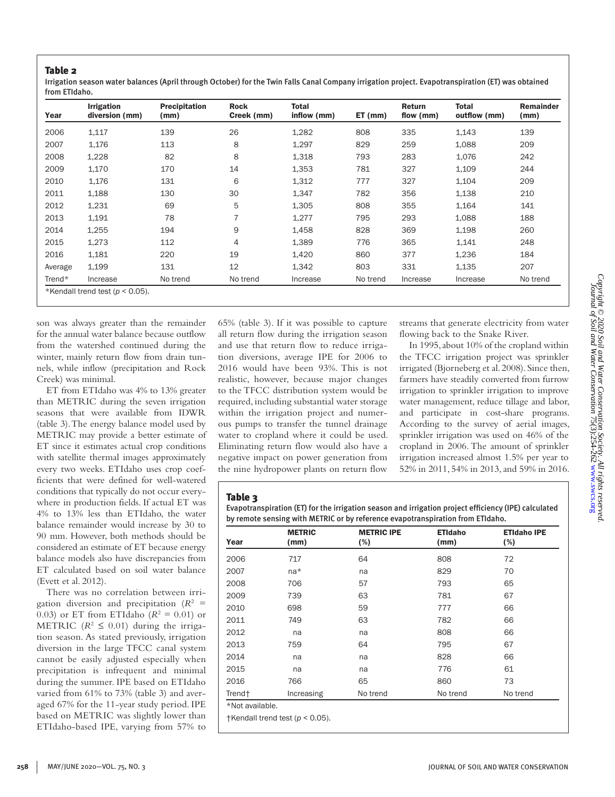## Table 2

Irrigation season water balances (April through October) for the Twin Falls Canal Company irrigation project. Evapotranspiration (ET) was obtained from ETIdaho.

| Year                                | <b>Irrigation</b><br>diversion (mm) | <b>Precipitation</b><br>(mm) | <b>Rock</b><br>Creek (mm) | Total<br>inflow (mm) | $ET$ (mm) | <b>Return</b><br>flow (mm) | <b>Total</b><br>outflow (mm) | <b>Remainder</b><br>(mm) |
|-------------------------------------|-------------------------------------|------------------------------|---------------------------|----------------------|-----------|----------------------------|------------------------------|--------------------------|
| 2006                                | 1,117                               | 139                          | 26                        | 1,282                | 808       | 335                        | 1,143                        | 139                      |
| 2007                                | 1,176                               | 113                          | 8                         | 1,297                | 829       | 259                        | 1,088                        | 209                      |
| 2008                                | 1,228                               | 82                           | 8                         | 1,318                | 793       | 283                        | 1,076                        | 242                      |
| 2009                                | 1,170                               | 170                          | 14                        | 1,353                | 781       | 327                        | 1,109                        | 244                      |
| 2010                                | 1,176                               | 131                          | 6                         | 1,312                | 777       | 327                        | 1,104                        | 209                      |
| 2011                                | 1,188                               | 130                          | 30                        | 1,347                | 782       | 356                        | 1,138                        | 210                      |
| 2012                                | 1,231                               | 69                           | 5                         | 1,305                | 808       | 355                        | 1,164                        | 141                      |
| 2013                                | 1,191                               | 78                           | 7                         | 1.277                | 795       | 293                        | 1,088                        | 188                      |
| 2014                                | 1,255                               | 194                          | 9                         | 1,458                | 828       | 369                        | 1,198                        | 260                      |
| 2015                                | 1,273                               | 112                          | 4                         | 1,389                | 776       | 365                        | 1,141                        | 248                      |
| 2016                                | 1,181                               | 220                          | 19                        | 1,420                | 860       | 377                        | 1,236                        | 184                      |
| Average                             | 1,199                               | 131                          | 12                        | 1.342                | 803       | 331                        | 1,135                        | 207                      |
| Trend*                              | Increase                            | No trend                     | No trend                  | Increase             | No trend  | Increase                   | Increase                     | No trend                 |
| *Kendall trend test ( $p < 0.05$ ). |                                     |                              |                           |                      |           |                            |                              |                          |

son was always greater than the remainder for the annual water balance because outflow from the watershed continued during the winter, mainly return flow from drain tunnels, while inflow (precipitation and Rock Creek) was minimal.

ET from ETIdaho was 4% to 13% greater than METRIC during the seven irrigation seasons that were available from IDWR (table 3). The energy balance model used by METRIC may provide a better estimate of ET since it estimates actual crop conditions with satellite thermal images approximately every two weeks. ETIdaho uses crop coefficients that were defined for well-watered conditions that typically do not occur everywhere in production fields. If actual ET was 4% to 13% less than ETIdaho, the water balance remainder would increase by 30 to 90 mm. However, both methods should be considered an estimate of ET because energy balance models also have discrepancies from ET calculated based on soil water balance (Evett et al. 2012).

There was no correlation between irrigation diversion and precipitation  $(R^2 =$ 0.03) or ET from ETIdaho  $(R^2 = 0.01)$  or METRIC ( $R^2 \leq 0.01$ ) during the irrigation season. As stated previously, irrigation diversion in the large TFCC canal system cannot be easily adjusted especially when precipitation is infrequent and minimal during the summer. IPE based on ETIdaho varied from 61% to 73% (table 3) and averaged 67% for the 11-year study period. IPE based on METRIC was slightly lower than ETIdaho-based IPE, varying from 57% to

65% (table 3). If it was possible to capture all return flow during the irrigation season and use that return flow to reduce irrigation diversions, average IPE for 2006 to 2016 would have been 93%. This is not realistic, however, because major changes to the TFCC distribution system would be required, including substantial water storage within the irrigation project and numerous pumps to transfer the tunnel drainage water to cropland where it could be used. Eliminating return flow would also have a negative impact on power generation from the nine hydropower plants on return flow

streams that generate electricity from water flowing back to the Snake River.

In 1995, about 10% of the cropland within the TFCC irrigation project was sprinkler irrigated (Bjorneberg et al. 2008). Since then, farmers have steadily converted from furrow irrigation to sprinkler irrigation to improve water management, reduce tillage and labor, and participate in cost-share programs. According to the survey of aerial images, sprinkler irrigation was used on 46% of the cropland in 2006. The amount of sprinkler irrigation increased almost 1.5% per year to 52% in 2011, 54% in 2013, and 59% in 2016.

# Table 3

Evapotranspiration (ET) for the irrigation season and irrigation project efficiency (IPE) calculated by remote sensing with METRIC or by reference evapotranspiration from ETIdaho.

| Year               | <b>METRIC</b><br>(mm) | <b>METRIC IPE</b><br>(%) | <b>ETIdaho</b><br>(mm) | <b>ETIdaho IPE</b><br>(%) |
|--------------------|-----------------------|--------------------------|------------------------|---------------------------|
| 2006               | 717                   | 64                       | 808                    | 72                        |
| 2007               | na*                   | na                       | 829                    | 70                        |
| 2008               | 706                   | 57                       | 793                    | 65                        |
| 2009               | 739                   | 63                       | 781                    | 67                        |
| 2010               | 698                   | 59                       | 777                    | 66                        |
| 2011               | 749                   | 63                       | 782                    | 66                        |
| 2012               | na                    | na                       | 808                    | 66                        |
| 2013               | 759                   | 64                       | 795                    | 67                        |
| 2014               | na                    | na                       | 828                    | 66                        |
| 2015               | na                    | na                       | 776                    | 61                        |
| 2016               | 766                   | 65                       | 860                    | 73                        |
| Trend <sup>+</sup> | Increasing            | No trend                 | No trend               | No trend                  |
| *Not available     |                       |                          |                        |                           |

\*Not available.

†Kendall trend test (*p* < 0.05).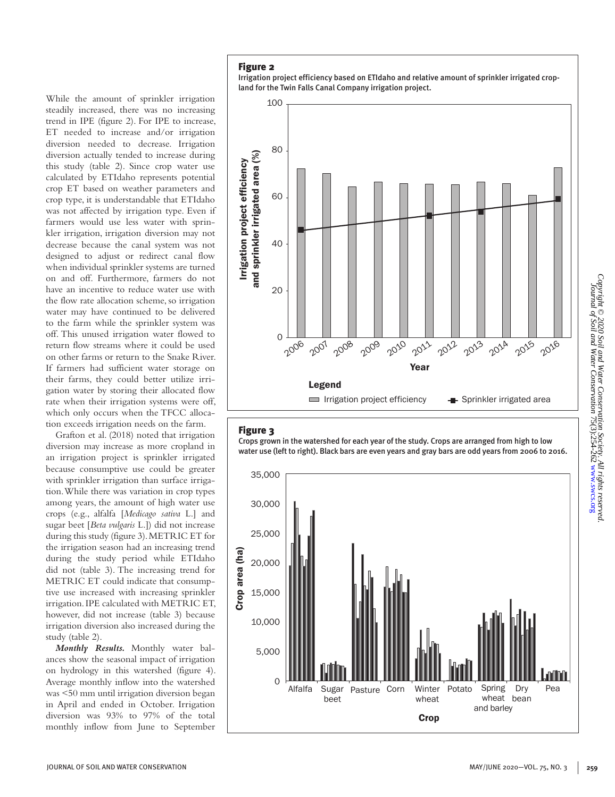## Figure 2

Irrigation project efficiency based on ETIdaho and relative amount of sprinkler irrigated cropland for the Twin Falls Canal Company irrigation project.



#### Figure 3

Crops grown in the watershed for each year of the study. Crops are arranged from high to low water use (left to right). Black bars are even years and gray bars are odd years from 2006 to 2016.



While the amount of sprinkler irrigation steadily increased, there was no increasing trend in IPE (figure 2). For IPE to increase, ET needed to increase and/or irrigation diversion needed to decrease. Irrigation diversion actually tended to increase during this study (table 2). Since crop water use calculated by ETIdaho represents potential crop ET based on weather parameters and crop type, it is understandable that ETIdaho was not affected by irrigation type. Even if farmers would use less water with sprinkler irrigation, irrigation diversion may not decrease because the canal system was not designed to adjust or redirect canal flow when individual sprinkler systems are turned on and off. Furthermore, farmers do not have an incentive to reduce water use with the flow rate allocation scheme, so irrigation water may have continued to be delivered to the farm while the sprinkler system was off. This unused irrigation water flowed to return flow streams where it could be used on other farms or return to the Snake River. If farmers had sufficient water storage on their farms, they could better utilize irrigation water by storing their allocated flow rate when their irrigation systems were off, which only occurs when the TFCC allocation exceeds irrigation needs on the farm.

Grafton et al. (2018) noted that irrigation diversion may increase as more cropland in an irrigation project is sprinkler irrigated because consumptive use could be greater with sprinkler irrigation than surface irrigation. While there was variation in crop types among years, the amount of high water use crops (e.g., alfalfa [*Medicago sativa* L.] and sugar beet [*Beta vulgaris* L.]) did not increase during this study (figure 3). METRIC ET for the irrigation season had an increasing trend during the study period while ETIdaho did not (table 3). The increasing trend for METRIC ET could indicate that consumptive use increased with increasing sprinkler irrigation. IPE calculated with METRIC ET, however, did not increase (table 3) because irrigation diversion also increased during the study (table 2).

*Monthly Results.* Monthly water balances show the seasonal impact of irrigation on hydrology in this watershed (figure 4). Average monthly inflow into the watershed was <50 mm until irrigation diversion began in April and ended in October. Irrigation diversion was 93% to 97% of the total monthly inflow from June to September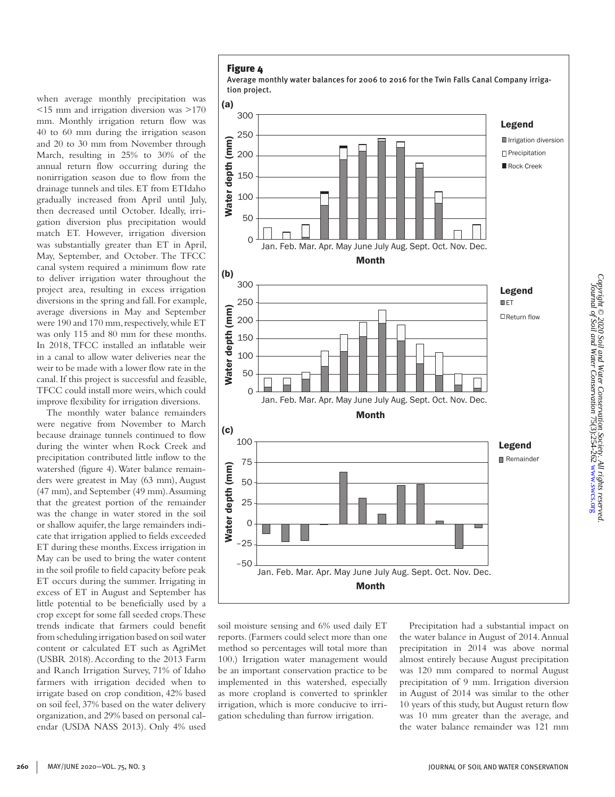when average monthly precipitation was <15 mm and irrigation diversion was >170 mm. Monthly irrigation return flow was 40 to 60 mm during the irrigation season and 20 to 30 mm from November through March, resulting in 25% to 30% of the annual return flow occurring during the nonirrigation season due to flow from the drainage tunnels and tiles. ET from ETIdaho gradually increased from April until July, then decreased until October. Ideally, irrigation diversion plus precipitation would match ET. However, irrigation diversion was substantially greater than ET in April, May, September, and October. The TFCC canal system required a minimum flow rate to deliver irrigation water throughout the project area, resulting in excess irrigation diversions in the spring and fall. For example, average diversions in May and September were 190 and 170 mm, respectively, while ET was only 115 and 80 mm for these months. In 2018, TFCC installed an inflatable weir in a canal to allow water deliveries near the weir to be made with a lower flow rate in the canal. If this project is successful and feasible, TFCC could install more weirs, which could improve flexibility for irrigation diversions.

The monthly water balance remainders were negative from November to March because drainage tunnels continued to flow during the winter when Rock Creek and precipitation contributed little inflow to the watershed (figure 4). Water balance remainders were greatest in May (63 mm), August (47 mm), and September (49 mm). Assuming that the greatest portion of the remainder was the change in water stored in the soil or shallow aquifer, the large remainders indicate that irrigation applied to fields exceeded ET during these months. Excess irrigation in May can be used to bring the water content in the soil profile to field capacity before peak ET occurs during the summer. Irrigating in excess of ET in August and September has little potential to be beneficially used by a crop except for some fall seeded crops. These trends indicate that farmers could benefit from scheduling irrigation based on soil water content or calculated ET such as AgriMet (USBR 2018). According to the 2013 Farm and Ranch Irrigation Survey, 71% of Idaho farmers with irrigation decided when to irrigate based on crop condition, 42% based on soil feel, 37% based on the water delivery organization, and 29% based on personal calendar (USDA NASS 2013). Only 4% used

#### Figure 4

Average monthly water balances for 2006 to 2016 for the Twin Falls Canal Company irrigation project.



soil moisture sensing and 6% used daily ET reports. (Farmers could select more than one method so percentages will total more than 100.) Irrigation water management would be an important conservation practice to be implemented in this watershed, especially as more cropland is converted to sprinkler irrigation, which is more conducive to irrigation scheduling than furrow irrigation.

Precipitation had a substantial impact on the water balance in August of 2014. Annual precipitation in 2014 was above normal almost entirely because August precipitation was 120 mm compared to normal August precipitation of 9 mm. Irrigation diversion in August of 2014 was similar to the other 10 years of this study, but August return flow was 10 mm greater than the average, and the water balance remainder was 121 mm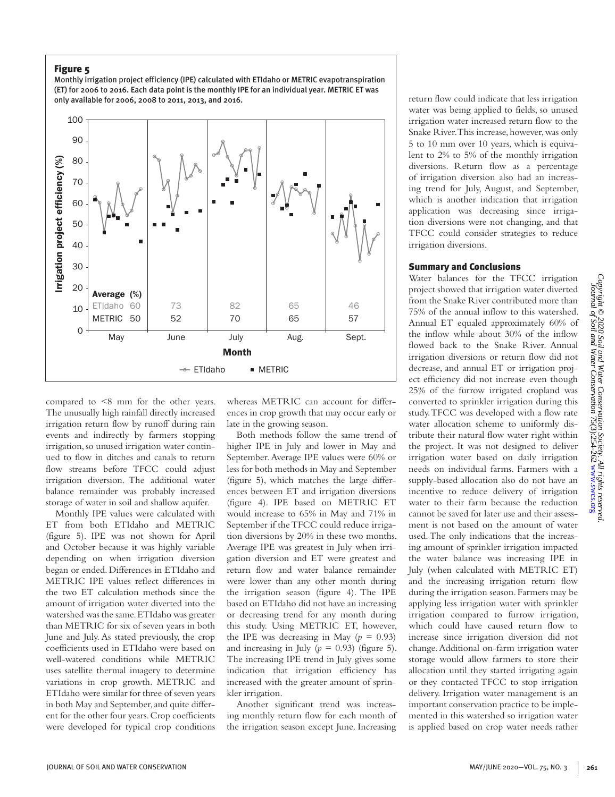# Figure 5

Monthly irrigation project efficiency (IPE) calculated with ETIdaho or METRIC evapotranspiration (ET) for 2006 to 2016. Each data point is the monthly IPE for an individual year. METRIC ET was only available for 2006, 2008 to 2011, 2013, and 2016.



compared to <8 mm for the other years. The unusually high rainfall directly increased irrigation return flow by runoff during rain events and indirectly by farmers stopping irrigation, so unused irrigation water continued to flow in ditches and canals to return flow streams before TFCC could adjust irrigation diversion. The additional water balance remainder was probably increased storage of water in soil and shallow aquifer.

Monthly IPE values were calculated with ET from both ETIdaho and METRIC (figure 5). IPE was not shown for April and October because it was highly variable depending on when irrigation diversion began or ended. Differences in ETIdaho and METRIC IPE values reflect differences in the two ET calculation methods since the amount of irrigation water diverted into the watershed was the same. ETIdaho was greater than METRIC for six of seven years in both June and July. As stated previously, the crop coefficients used in ETIdaho were based on well-watered conditions while METRIC uses satellite thermal imagery to determine variations in crop growth. METRIC and ETIdaho were similar for three of seven years in both May and September, and quite different for the other four years. Crop coefficients were developed for typical crop conditions whereas METRIC can account for differences in crop growth that may occur early or late in the growing season.

Both methods follow the same trend of higher IPE in July and lower in May and September. Average IPE values were 60% or less for both methods in May and September (figure 5), which matches the large differences between ET and irrigation diversions (figure 4). IPE based on METRIC ET would increase to 65% in May and 71% in September if the TFCC could reduce irrigation diversions by 20% in these two months. Average IPE was greatest in July when irrigation diversion and ET were greatest and return flow and water balance remainder were lower than any other month during the irrigation season (figure 4). The IPE based on ETIdaho did not have an increasing or decreasing trend for any month during this study. Using METRIC ET, however, the IPE was decreasing in May  $(p = 0.93)$ and increasing in July ( $p = 0.93$ ) (figure 5). The increasing IPE trend in July gives some indication that irrigation efficiency has increased with the greater amount of sprinkler irrigation.

Another significant trend was increasing monthly return flow for each month of the irrigation season except June. Increasing return flow could indicate that less irrigation water was being applied to fields, so unused irrigation water increased return flow to the Snake River. This increase, however, was only 5 to 10 mm over 10 years, which is equivalent to 2% to 5% of the monthly irrigation diversions. Return flow as a percentage of irrigation diversion also had an increasing trend for July, August, and September, which is another indication that irrigation application was decreasing since irrigation diversions were not changing, and that TFCC could consider strategies to reduce irrigation diversions.

#### Summary and Conclusions

Water balances for the TFCC irrigation project showed that irrigation water diverted from the Snake River contributed more than 75% of the annual inflow to this watershed. Annual ET equaled approximately 60% of the inflow while about 30% of the inflow flowed back to the Snake River. Annual irrigation diversions or return flow did not decrease, and annual ET or irrigation project efficiency did not increase even though 25% of the furrow irrigated cropland was converted to sprinkler irrigation during this study. TFCC was developed with a flow rate water allocation scheme to uniformly distribute their natural flow water right within the project. It was not designed to deliver irrigation water based on daily irrigation needs on individual farms. Farmers with a supply-based allocation also do not have an incentive to reduce delivery of irrigation water to their farm because the reduction cannot be saved for later use and their assessment is not based on the amount of water used. The only indications that the increasing amount of sprinkler irrigation impacted the water balance was increasing IPE in July (when calculated with METRIC ET) and the increasing irrigation return flow during the irrigation season. Farmers may be applying less irrigation water with sprinkler irrigation compared to furrow irrigation, which could have caused return flow to increase since irrigation diversion did not change. Additional on-farm irrigation water storage would allow farmers to store their allocation until they started irrigating again or they contacted TFCC to stop irrigation delivery. Irrigation water management is an important conservation practice to be implemented in this watershed so irrigation water is applied based on crop water needs rather